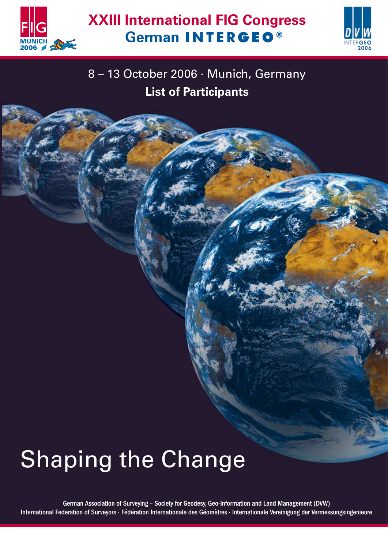



## 8 – 13 October 2006 · Munich, Germany **List of Participants**

# **Shaping the Change**

German Association of Surveying – Society for Geodesy, Geo-Information and Land Management (DVW) International Federation of Surveyors · Fédération Internationale des Géomètres · Internationale Vereinigung der Vermessungsingenieure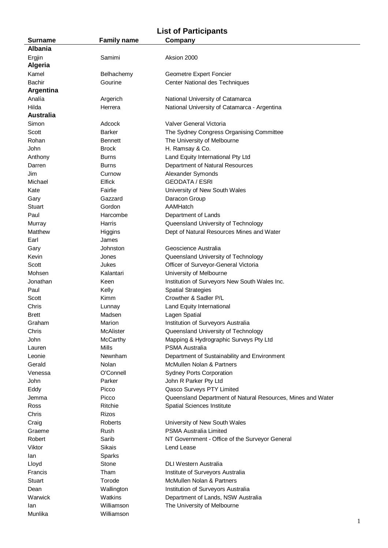### **List of Participants**

| <b>Surname</b>   | <b>Family name</b> | Company                                                     |
|------------------|--------------------|-------------------------------------------------------------|
| <b>Albania</b>   |                    |                                                             |
| Ergjin           | Samimi             | Aksion 2000                                                 |
| <b>Algeria</b>   |                    |                                                             |
| Kamel            | Belhachemy         | Geometre Expert Foncier                                     |
| <b>Bachir</b>    | Gourine            | Center National des Techniques                              |
| <b>Argentina</b> |                    |                                                             |
|                  |                    |                                                             |
| Analía           | Argerich           | National University of Catamarca                            |
| Hilda            | Herrera            | National University of Catamarca - Argentina                |
| <b>Australia</b> |                    |                                                             |
| Simon            | Adcock             | Valver General Victoria                                     |
| Scott            | <b>Barker</b>      | The Sydney Congress Organising Committee                    |
| Rohan            | <b>Bennett</b>     | The University of Melbourne                                 |
| John             | <b>Brock</b>       | H. Ramsay & Co.                                             |
| Anthony          | <b>Burns</b>       | Land Equity International Pty Ltd                           |
| Darren           | <b>Burns</b>       | Department of Natural Resources                             |
| Jim              | Curnow             | Alexander Symonds                                           |
| Michael          | Elfick             | <b>GEODATA / ESRI</b>                                       |
| Kate             | Fairlie            | University of New South Wales                               |
| Gary             | Gazzard            | Daracon Group                                               |
| Stuart           | Gordon             | AAMHatch                                                    |
| Paul             | Harcombe           | Department of Lands                                         |
| Murray           | Harris             | Queensland University of Technology                         |
|                  |                    |                                                             |
| Matthew          | Higgins            | Dept of Natural Resources Mines and Water                   |
| Earl             | James              |                                                             |
| Gary             | Johnston           | Geoscience Australia                                        |
| Kevin            | Jones              | Queensland University of Technology                         |
| Scott            | Jukes              | Officer of Surveyor-General Victoria                        |
| Mohsen           | Kalantari          | University of Melbourne                                     |
| Jonathan         | Keen               | Institution of Surveyors New South Wales Inc.               |
| Paul             | Kelly              | <b>Spatial Strategies</b>                                   |
| Scott            | Kimm               | Crowther & Sadler P/L                                       |
| Chris            | Lunnay             | Land Equity International                                   |
| <b>Brett</b>     | Madsen             | Lagen Spatial                                               |
| Graham           | Marion             | Institution of Surveyors Australia                          |
| Chris            | McAlister          | Queensland University of Technology                         |
| John             | <b>McCarthy</b>    | Mapping & Hydrographic Surveys Pty Ltd                      |
| Lauren           | <b>Mills</b>       | PSMA Australia                                              |
| Leonie           | Newnham            | Department of Sustainability and Environment                |
| Gerald           | Nolan              | McMullen Nolan & Partners                                   |
| Venessa          | O'Connell          | <b>Sydney Ports Corporation</b>                             |
| John             | Parker             | John R Parker Pty Ltd                                       |
|                  |                    |                                                             |
| Eddy             | Picco              | Qasco Surveys PTY Limited                                   |
| Jemma            | Picco              | Queensland Department of Natural Resources, Mines and Water |
| Ross             | Ritchie            | Spatial Sciences Institute                                  |
| Chris            | Rizos              |                                                             |
| Craig            | Roberts            | University of New South Wales                               |
| Graeme           | Rush               | PSMA Australia Limited                                      |
| Robert           | Sarib              | NT Government - Office of the Surveyor General              |
| Viktor           | Sikais             | Lend Lease                                                  |
| lan              | Sparks             |                                                             |
| Lloyd            | Stone              | DLI Western Australia                                       |
| Francis          | Tham               | Institute of Surveyors Australia                            |
| <b>Stuart</b>    | Torode             | McMullen Nolan & Partners                                   |
| Dean             | Wallington         | Institution of Surveyors Australia                          |
| Warwick          | Watkins            | Department of Lands, NSW Australia                          |
| lan              | Williamson         | The University of Melbourne                                 |
| Munlika          | Williamson         |                                                             |
|                  |                    |                                                             |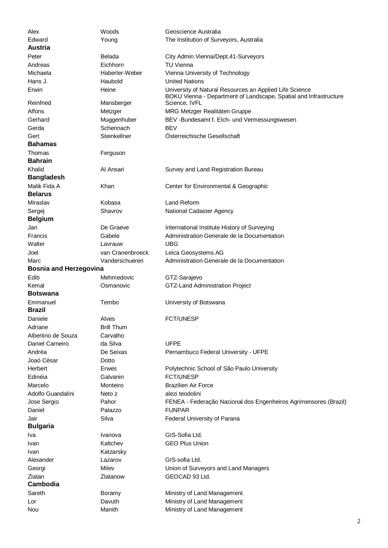| Alex                          | Woods             | Geoscience Australia                                                                                                         |
|-------------------------------|-------------------|------------------------------------------------------------------------------------------------------------------------------|
| Edward                        | Young             | The Institution of Surveyors, Australia                                                                                      |
| <b>Austria</b>                |                   |                                                                                                                              |
| Peter                         | Belada            | City Admin. Vienna/Dept. 41-Surveyors                                                                                        |
| Andreas                       | Eichhorn          | <b>TU Vienna</b>                                                                                                             |
| Michaela                      | Haberler-Weber    | Vienna University of Technology                                                                                              |
| Hans J.                       | Haubold           | <b>United Nations</b>                                                                                                        |
| Erwin                         | Heine             | University of Natural Resources an Applied Life Science<br>BOKU Vienna - Department of Landscape, Spatial and Infrastructure |
| Reinfried                     | Mansberger        | Science, IVFL                                                                                                                |
| Alfons                        | Metzger           | MRG Metzger Realitäten Gruppe                                                                                                |
| Gerhard                       | Muggenhuber       | BEV-Bundesamt f. Elch- und Vermessungswesen                                                                                  |
| Gerda                         | Schennach         | <b>BEV</b>                                                                                                                   |
| Gert                          | Steinkellner      | Österreichische Gesellschaft                                                                                                 |
| <b>Bahamas</b>                |                   |                                                                                                                              |
| Thomas                        | Ferguson          |                                                                                                                              |
| <b>Bahrain</b>                |                   |                                                                                                                              |
| Khalid                        | Al Ansari         | Survey and Land Registration Bureau                                                                                          |
| <b>Bangladesh</b>             |                   |                                                                                                                              |
| Malik Fida A                  | Khan              | Center for Environmental & Geographic                                                                                        |
| <b>Belarus</b>                |                   |                                                                                                                              |
| Miraslav                      | Kobasa            | Land Reform                                                                                                                  |
| Sergej                        | Shavrov           | National Cadaster Agency                                                                                                     |
| <b>Belgium</b>                |                   |                                                                                                                              |
| Jan                           | De Graeve         | International Institute History of Surveying                                                                                 |
| Francis                       | Gabele            | Administration Generale de la Documentation                                                                                  |
| Walter                        | Lavrauw           | <b>UBG</b>                                                                                                                   |
| Joel                          | van Cranenbroeck  | Leica Geosystems AG                                                                                                          |
| Marc                          | Vanderschueren    | Administration Generale de la Documentation                                                                                  |
| <b>Bosnia and Herzegovina</b> |                   |                                                                                                                              |
| Edib                          | Mehmedovic        | GTZ-Sarajevo                                                                                                                 |
| Kemal                         | Osmanovic         | GTZ-Land Administration Project                                                                                              |
| Botswana                      |                   |                                                                                                                              |
| Emmanuel                      |                   | University of Botswana                                                                                                       |
|                               | Tembo             |                                                                                                                              |
| <b>Brazil</b>                 |                   |                                                                                                                              |
| Daniele                       | Alves             | FCT/UNESP                                                                                                                    |
| Adriane                       | <b>Brill Thum</b> |                                                                                                                              |
| Albertino de Souza            | Carvalho          |                                                                                                                              |
| Daniel Carneiro               | da Silva          | <b>UFPE</b>                                                                                                                  |
| Andréa                        | De Seixas         | Pernambuco Federal University - UFPE                                                                                         |
| Joaó César                    | Dotto             |                                                                                                                              |
| Herbert                       | <b>Erwes</b>      | Polytechnic School of São Paulo University                                                                                   |
| Edinéia                       | Galvanin          | <b>FCT/UNESP</b>                                                                                                             |
| Marcelo                       | Monteiro          | <b>Brazilien Air Force</b>                                                                                                   |
| Adolfo Guandalini             | Neto z            | alezi teodolini                                                                                                              |
| Jose Sergio                   | Pahor             | FENEA - Federação Nacional dos Engenheiros Agrimensores (Brazil)                                                             |
| Daniel                        | Palazzo           | <b>FUNPAR</b>                                                                                                                |
| Jair                          | Silva             | Federal University of Parana                                                                                                 |
| <b>Bulgaria</b>               |                   |                                                                                                                              |
| Iva                           | Ivanova           | GIS-Sofia Ltd.                                                                                                               |
| Ivan                          | Kaltchev          | <b>GEO Plus Union</b>                                                                                                        |
| Ivan                          | Katzarsky         |                                                                                                                              |
| Alexander                     | Lazarov           | GIS-sofia Ltd.                                                                                                               |
| Georgi                        | Milev             | Union of Surveyors and Land Managers                                                                                         |
| Zlatan                        | Zlatanow          | GEOCAD 93 Ltd.                                                                                                               |
| Cambodia                      |                   |                                                                                                                              |
| Sareth                        | Boramy            | Ministry of Land Management                                                                                                  |
| Lor<br>Nou                    | Davuth<br>Manith  | Ministry of Land Management<br>Ministry of Land Management                                                                   |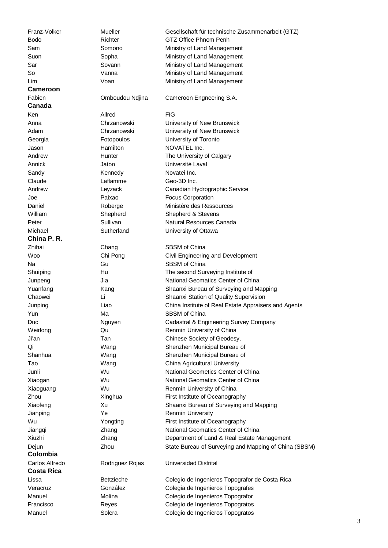**Cameroon Canada China P. R. Colombia Costa Rica** 

Franz-Volker Mueller Gesellschaft für technische Zusammenarbeit (GTZ) Bodo Richter GTZ Office Phnom Penh Sam Somono Ministry of Land Management Suon Sopha Ministry of Land Management Sar Sovann Sovann Ministry of Land Management So Vanna Ministry of Land Management Lim Voan Voan Ministry of Land Management Fabien Omboudou Ndjina Cameroon Engneering S.A. Ken Allred FIG Anna Chrzanowski University of New Brunswick Adam Chrzanowski University of New Brunswick Georgia Fotopoulos University of Toronto Jason Hamilton NOVATEL Inc. Andrew **Hunter** Hunter The University of Calgary Annick Jaton Jaton Université Laval Sandy **Kennedy** Novatei Inc. Claude Laflamme Geo-3D Inc. Andrew Leyzack Canadian Hydrographic Service Joe Paixao Focus Corporation Daniel Roberge Ministère des Ressources William Shepherd Shepherd Shepherd & Stevens Peter Sullivan Sullivan Natural Resources Canada Michael Sutherland University of Ottawa Zhihai Chang Chang SBSM of China Woo Chi Pong Civil Engineering and Development Na Gu Gu SBSM of China Shuiping Hu The second Surveying Institute of Junpeng Jia National Geomatics Center of China Yuanfang Kang Kang Shaanxi Bureau of Surveying and Mapping Chaowei Li Li Shaanxi Station of Quality Supervision Junping Liao China Institute of Real Estate Appraisers and Agents Yun Ma Ma SBSM of China Duc Nguyen Cadastral & Engineering Survey Company Weidong **COMECON COMECON COMECON** Renmin University of China Ji'an Tan Chinese Society of Geodesy, Qi Wang Wang Shenzhen Municipal Bureau of Shanhua Wang Shenzhen Municipal Bureau of Tao Wang China Agricultural University Junli Wu National Geometics Center of China Xiaogan Wu National Geomatics Center of China Xiaoguang Wu Renmin University of China Zhou **Xinghua** First Institute of Oceanography Xiaofeng Xu Shaanxi Bureau of Surveying and Mapping Jianping The Ye Renmin University Wu **Yongting** First Institute of Oceanography Jiangqi Zhang National Geomatics Center of China Xiuzhi Zhang Department of Land & Real Estate Management Dejun Zhou State Bureau of Surveying and Mapping of China (SBSM) Carlos Alfredo Rodriguez Rojas Universidad Distrital Lissa Bettzieche Colegio de Ingenieros Topografor de Costa Rica Veracruz González Colegia de Ingenieros Topografes Manuel Molina Colegio de Ingenieros Topografor Francisco Reyes Colegio de Ingenieros Topogratos Manuel Solera Colegio de Ingenieros Topogratos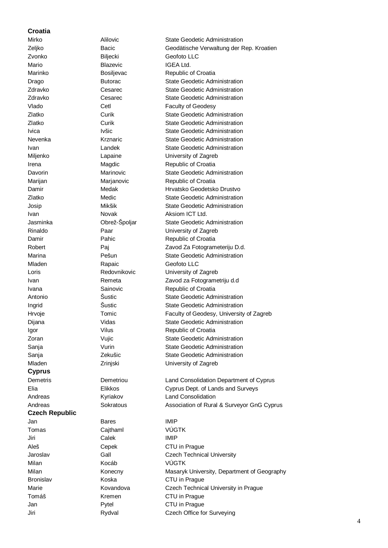### **Croatia**

**Cyprus Czech Republic** 

Zvonko Biljecki Geofoto LLC Mario Blazevic Blazevic IGEA Ltd. Mladen Rapaic Geofoto LLC Jan Bares IMIP Tomas Cajthaml VÚGTK Jiri Calek IMIP Milan Kocáb VÚGTK

Mirko Alilovic Alilovic State Geodetic Administration Zeljko Bacic Geodätische Verwaltung der Rep. Kroatien Marinko Bosiljevac Republic of Croatia Drago Butorac State Geodetic Administration Zdravko Cesarec State Geodetic Administration Zdravko Cesarec State Geodetic Administration Vlado Cetl Cetl Faculty of Geodesy Zlatko Curik Curik State Geodetic Administration Zlatko Curik State Geodetic Administration Ivica Ivšic **Ivšic** State Geodetic Administration Nevenka Krznaric State Geodetic Administration Ivan Landek State Geodetic Administration Miljenko Lapaine University of Zagreb Irena Magdic Republic of Croatia Davorin Marinovic State Geodetic Administration Marijan Marijanovic Republic of Croatia Damir Medak Hrvatsko Geodetsko Drustvo Zlatko Medic State Geodetic Administration Josip Mikšik State Geodetic Administration Ivan Novak Aksiom ICT Ltd. Jasminka **Obrež-Špoljar** State Geodetic Administration Rinaldo Paar University of Zagreb Damir Pahic Pahic Republic of Croatia Robert Pai Paj Zavod Za Fotogrameteriju D.d. Marina Pešun State Geodetic Administration Loris **Example 2** Redovnikovic **University of Zagreb** Ivan Remeta Zavod za Fotogrametriju d.d Ivana **Sainovic** Sainovic Republic of Croatia Antonio Šustic State Geodetic Administration Ingrid Sustic Sustic State Geodetic Administration Hrvoje Tomic Faculty of Geodesy, University of Zagreb Dijana **Nidas** Vidas State Geodetic Administration Igor Vilus Vilus Republic of Croatia Zoran **Vujic** Vujic State Geodetic Administration Sanja **Sanja** Vurin State Geodetic Administration Sanja Cekušic State Geodetic Administration Mladen **Zrinjski** Zrinjski University of Zagreb Demetris Demetriou Land Consolidation Department of Cyprus Elia Elikkos Cyprus Dept. of Lands and Surveys Andreas Kyriakov Land Consolidation Andreas Sokratous Sokratous Association of Rural & Surveyor GnG Cyprus Aleš Cepek CTU in Prague Jaroslav Gall Czech Technical University Milan Konecny Masaryk University, Department of Geography Bronislav Koska CTU in Prague Marie **Kovandova** Czech Technical University in Prague Tomáš Kremen CTU in Prague Jan Pytel CTU in Prague Jiri Rydval Czech Office for Surveying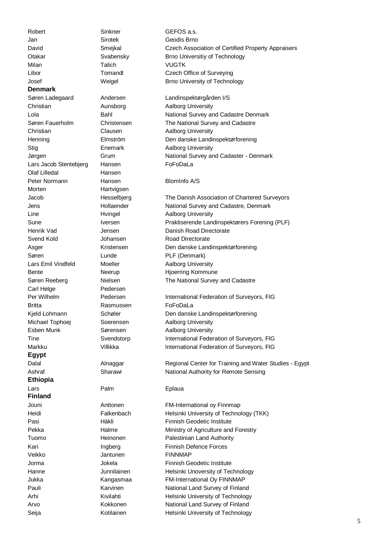Robert Sinkner GEFOS a.s. Jan Sirotek Geodis Brno Milan Talich VUGTK **Denmark**  Lars Jacob Stentebjerg Hansen FoFoDaLa Olaf Lilledal Hansen Peter Normann Hansen BlomInfo A/S Morten Hartvigsen Carl Helge Pedersen Britta Rasmussen FoFoDaLa **Egypt Ethiopia**  Lars **Palm** Palm **Eplaua Finland**  Veikko Jantunen FINNMAP

Seija **Kotilainen** Helsinki University of Technology

David Smejkal Czech Association of Certified Property Appraisers Otakar Svabensky Brno Universitiy of Technology Libor Tomandl Czech Office of Surveying Josef Weigel Brno University of Technology Søren Ladegaard Andersen Landinspektørgården I/S Christian **Aunsborg** Aunsborg Aalborg University Lola **Bahl** Bahl National Survey and Cadastre Denmark Søren Fauerholm Christensen The National Survey and Cadastre Christian Clausen Aalborg University Henning Elmström Den danske Landinspektørforening Stig **Enemark** Aalborg University Jørgen Grum National Survey and Cadaster - Denmark Jacob Hesselbjerg The Danish Association of Chartered Surveyors Jens Hollaender National Survey and Cadastre, Denmark Line **H**vingel Aalborg University Sune Iversen Praktiserende Landinspektørers Forening (PLF) Henrik Vad Jensen Danish Road Directorate Svend Kold **Svend Kold** Johansen **Road Directorate** Asger Kristensen Den danske Landinspektørforening Søren **Lunde** PLF (Denmark) Lars Emil Vindfeld Moeller Moeller Aalborg University Bente Neerup Hioerring Kommune Søren Reeberg Nielsen Nielsen The National Survey and Cadastre Per Wilhelm **Pedersen** Pedersen International Federation of Surveyors, FIG Kjeld Lohmann Schøler Den danske Landinspektørforening Michael Tophoej Soerensen Aalborg University Esben Munk Sørensen Aalborg University Tine Svendstorp International Federation of Surveyors, FIG Markku Villikka International Federation of Surveyors, FIG Dalal **Alnaggar** Regional Center for Training and Water Studies - Egypt Ashraf Sharawi Sharawi National Authority for Remote Sensing Jouni Anttonen FM-International oy Finnmap Heidi Falkenbach Helsinki University of Technology (TKK) Pasi **Häkli** Häkli Finnish Geodetic Institute Pekka **Halme** Halme Ministry of Agriculture and Forestry Tuomo **Heinonen** Palestinian Land Authority Kari **Ingberg** Finnish Defence Forces Jorma Jokela Finnish Geodetic Institute Hanne Junnilainen Helsinki Unoversity of Technology Jukka Kangasmaa FM-International Oy FINNMAP Pauli Karvinen Mational Land Survey of Finland Arhi Kivilahti Kivilahti Helsinki University of Technology Arvo Kokkonen Mational Land Survey of Finland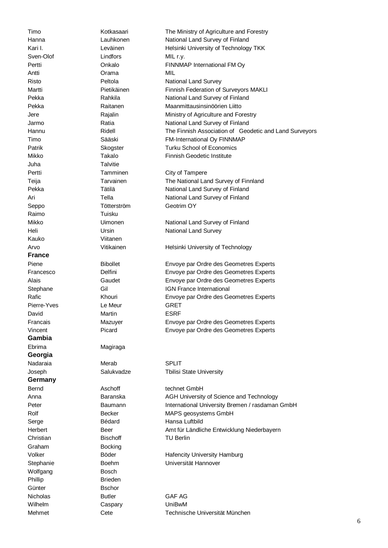Sven-Olof Lindfors MIL r.y. Antti Orama MIL Juha Talvitie Raimo Tuisku Kauko Viitanen **France**  Pierre-Yves Le Meur GRET **Gambia**  Ebrima Magiraga **Georgia**  Nadaraia Merab Merab SPLIT **Germany**  Graham Bocking Wolfgang **Bosch** Phillip **Brieden** Günter **B**schor Wilhelm Caspary UniBwM

David Martin Martin ESRF

Timo **Kotkasaari** The Ministry of Agriculture and Forestry Hanna Lauhkonen National Land Survey of Finland Kari I. **Kari I.** Leväinen Helsinki University of Technology TKK Pertti **Onkalo CONSERVING CONSERVING PROVIDENT** CONSERVING PROVIDENCE PROVIDENCE PROVIDENCE PROVIDENCE PROVIDENCE Risto **Peltola** Peltola National Land Survey Martti Pietikäinen Finnish Federation of Surveyors MAKLI Pekka Rahkila National Land Survey of Finland Pekka Raitanen Maanmittausinsinöörien Liitto Jere Rajalin Ministry of Agriculture and Forestry Jarmo **Ratia** Ratia National Land Survey of Finland Hannu Ridell The Finnish Association of Geodetic and Land Surveyors Timo Sääski FM-International Oy FINNMAP Patrik Skogster Turku School of Economics Mikko Takalo Finnish Geodetic Institute Pertti Tamminen City of Tampere Teija Tarvainen The National Land Survey of Finnland Pekka Tätilä National Land Survey of Finland Ari **National Land Survey of Finland** Tella **National Land Survey of Finland** Seppo Tötterström Geotrim OY Mikko **Uimonen** National Land Survey of Finland Heli Ursin Ursin National Land Survey Arvo Vitikainen Vitikainen Helsinki University of Technology Piene Bibollet Envoye par Ordre des Geometres Experts Francesco Delfini Envoye par Ordre des Geometres Experts Alais Gaudet Envoye par Ordre des Geometres Experts Stephane Gil Gil IGN France International Rafic **Envoye par Ordre des Geometres Experts** Experts Francais Mazuyer Envoye par Ordre des Geometres Experts Vincent Picard Envoye par Ordre des Geometres Experts Joseph Salukvadze Tbilisi State University Bernd **Aschoff** technet GmbH Anna **Baranska** AGH University of Science and Technology **Baranska** Peter Baumann Baumann International University Bremen / rasdaman GmbH Rolf Becker MAPS geosystems GmbH Serge Bédard Hansa Luftbild Herbert Beer Amt für Ländliche Entwicklung Niederbayern Christian **Bischoff** TU Berlin Volker Böder Hafencity University Hamburg Stephanie Boehm Universität Hannover Nicholas **Butler** GAF AG

Mehmet Cete Technische Universität München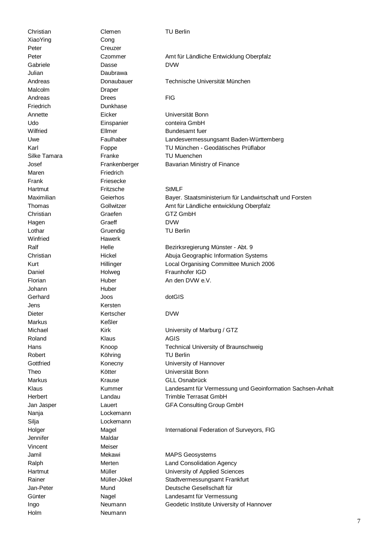Christian Clemen TU Berlin XiaoYing Cong Peter Creuzer Julian Daubrawa Malcolm Draper Friedrich Dunkhase Maren **Friedrich** Frank Friesecke Winfried Hawerk Johann Huber Jens Kersten Markus Keßler Nanja Lockemann Silja Lockemann Jennifer Maldar Vincent Meiser Holm Neumann

Gabriele Dasse DVW Andreas Drees **Drees** FIG Annette Eicker Universität Bonn Udo Einspanier conteira GmbH Wilfried **Ellmer** Bundesamt fuer Silke Tamara **Franke** Franke TU Muenchen Hartmut Fritzsche StMLF Christian Graefen GTZ GmbH Hagen Graeff DVW Lothar Gruendig TU Berlin Florian Huber Huber An den DVW e.V. Gerhard Joos dotGIS Dieter Kertscher DVW Roland Klaus Konstantine Konstantine Konstantine AGIS Robert Köhring TU Berlin Jamil Mekawi Mekawi MAPS Geosystems

Peter Czommer Amt für Ländliche Entwicklung Oberpfalz

### Andreas Donaubauer Technische Universität München

Uwe Faulhaber Landesvermessungsamt Baden-Württemberg Karl Foppe TU München - Geodätisches Prüflabor Josef Frankenberger Bavarian Ministry of Finance

Maximilian Geierhos Bayer. Staatsministerium für Landwirtschaft und Forsten Thomas Gollwitzer Amt für Ländliche entwicklung Oberpfalz

Ralf Ralf Helle Helle Bezirksregierung Münster - Abt. 9 Christian Hickel Abuja Geographic Information Systems Kurt **Hillinger** Hillinger Local Organising Committee Munich 2006 Daniel **Holweg Fraunhofer IGD** 

Michael Kirk **Kirk University of Marburg / GTZ** Hans **Knoop Knoop** Technical University of Braunschweig Gottfried **Konecny Konecny** University of Hannover Theo Kötter Universität Bonn Markus Krause GLL Osnabrück Klaus Kummer Landesamt für Vermessung und Geoinformation Sachsen-Anhalt Herbert Landau Trimble Terrasat GmbH Jan Jasper Lauert GFA Consulting Group GmbH

Holger Magel International Federation of Surveyors, FIG

Ralph Merten Land Consolidation Agency Hartmut Müller University of Applied Sciences Rainer Müller-Jökel Stadtvermessungsamt Frankfurt Jan-Peter Mund Deutsche Gesellschaft für Günter Nagel Nagel Landesamt für Vermessung Ingo Neumann Geodetic Institute University of Hannover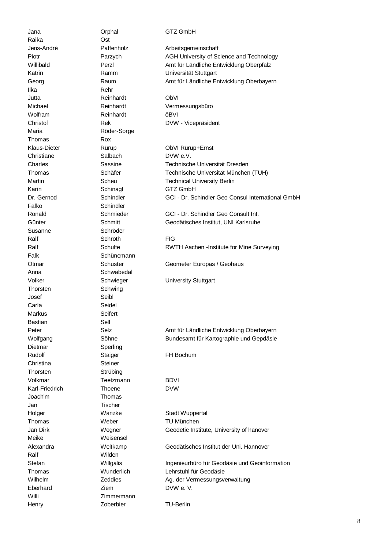Raika Ost Ilka Rehr Jutta Reinhardt ÖbVI Wolfram Reinhardt öBVI Maria **Röder-Sorge** Thomas Rox Christiane Salbach DVW e.V. Karin Schinagl GTZ GmbH Falko Schindler Susanne Schröder Ralf Schroth Schroth FIG Falk Schünemann Anna Schwabedal Thorsten Schwing Josef Seibl Carla Seidel Markus **Seifert** Bastian Sell Dietmar Sperling Rudolf Staiger FH Bochum Christina Steiner Thorsten Strübing Volkmar Teetzmann BDVI Karl-Friedrich Thoene DVW Joachim Thomas Jan Tischer Holger Wanzke Stadt Wuppertal Thomas Weber TU München Meike Weisensel Ralf Wilden Eberhard **Ziem Ziem** DVW e. V. Willi Zimmermann

Jana **Orphal** GTZ GmbH Henry Zoberbier TU-Berlin

Jens-André Paffenholz Arbeitsgemeinschaft Piotr **Piotr** Parzych AGH University of Science and Technology Willibald Perzl Perzl Amt für Ländliche Entwicklung Oberpfalz Katrin Ramm Viniversität Stuttgart Georg Faum Raum Amt für Ländliche Entwicklung Oberbayern

Michael Reinhardt Vermessungsbüro Christof Rek DVW - Vicepräsident

Klaus-Dieter Rürup ÖbVI Rürup+Ernst Charles Sassine Technische Universität Dresden Thomas Schäfer Technische Universität München (TUH) Martin Scheu Technical University Berlin Dr. Gernod Schindler GCI - Dr. Schindler Geo Consul International GmbH

Ronald Schmieder GCI - Dr. Schindler Geo Consult Int. Günter Schmitt Geodätisches Institut, UNI Karlsruhe

Ralf Schulte Schulte RWTH Aachen -Institute for Mine Surveying

Otmar Christen Schuster Geometer Europas / Geohaus

Volker Schwieger University Stuttgart

Peter Selz Selz Amt für Ländliche Entwicklung Oberbayern Wolfgang Söhne Bundesamt für Kartographie und Gepdäsie

Jan Dirk Wegner Geodetic Institute, University of hanover

Alexandra Weitkamp Geodätisches Institut der Uni. Hannover

Stefan Willgalis Ingenieurbüro für Geodäsie und Geoinformation Thomas Wunderlich Lehrstuhl für Geodäsie Wilhelm Zeddies Ag. der Vermessungsverwaltung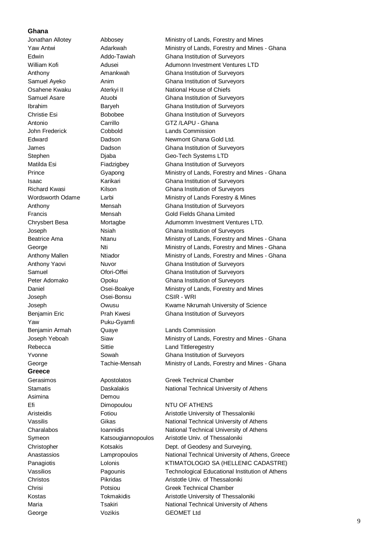### **Ghana**

Joseph Osei-Bonsu CSIR - WRI Yaw Puku-Gyamfi Rebecca Sittie Sittie Land Tittleregestry **Greece**  Asimina Demou Efi Dimopoulou NTU OF ATHENS George **Vozikis** Vozikis **GEOMET** Ltd

Jonathan Allotey Abbosey Ministry of Lands, Forestry and Mines Yaw Antwi **Adarkwah** Ministry of Lands, Forestry and Mines - Ghana Edwin Addo-Tawiah Ghana Institution of Surveyors William Kofi **Adusei** Adusei Adumonn Investment Ventures LTD Anthony Amankwah Ghana Institution of Surveyors Samuel Ayeko Anim Ghana Institution of Surveyors Osahene Kwaku Aterkyi II National House of Chiefs Samuel Asare **Atuobi** Atuobi Ghana Institution of Surveyors Ibrahim Baryeh Ghana Institution of Surveyors Christie Esi Bobobee Ghana Institution of Surveyors Antonio Carrillo GTZ /LAPU - Ghana John Frederick Cobbold Lands Commission Edward **Dadson** Dadson Newmont Ghana Gold Ltd. James Dadson Ghana Institution of Surveyors Stephen Diaba Geo-Tech Systems LTD Matilda Esi Fiadzigbey Ghana Institution of Surveyors Prince Gyapong Ministry of Lands, Forestry and Mines - Ghana Isaac Karikari Ghana Institution of Surveyors Richard Kwasi Kilson Ghana Institution of Surveyors Wordsworth Odame Larbi **Lands** Ministry of Lands Forestry & Mines Anthony Mensah Ghana Institution of Surveyors Francis Mensah Gold Fields Ghana Limited Chrysbert Besa Mortagbe Adumomm Investment Ventures LTD. Joseph Nsiah Ghana Institution of Surveyors Beatrice Ama Ntanu Ministry of Lands, Forestry and Mines - Ghana George **Nti** New Ministry of Lands, Forestry and Mines - Ghana Anthony Mallen **Ntiador** Ministry of Lands, Forestry and Mines - Ghana Anthony Yaovi **Nuvor** Nuvor Ghana Institution of Surveyors Samuel Ofori-Offei Ghana Institution of Surveyors Peter Adomako **Opoku** Ghana Institution of Surveyors Daniel Osei-Boakye Ministry of Lands, Forestry and Mines Joseph Owusu Kwame Nkrumah University of Science Benjamin Eric Prah Kwesi Ghana Institution of Surveyors Benjamin Armah Cuaye Cuaye Lands Commission Joseph Yeboah Siaw Ministry of Lands, Forestry and Mines - Ghana Yvonne Sowah Ghana Institution of Surveyors George Tachie-Mensah Ministry of Lands, Forestry and Mines - Ghana Gerasimos **Apostolatos** Greek Technical Chamber Stamatis **Daskalakis** Daskalakis National Technical University of Athens Aristeidis Fotiou Aristotle University of Thessaloniki Vassilis Gikas Gikas National Technical University of Athens Charalabos Ioannidis National Technical University of Athens

Symeon Katsougiannopoulos Aristotle Univ. of Thessaloniki Christopher Kotsakis Dept. of Geodesy and Surveying, Anastassios Lampropoulos National Technical University of Athens, Greece Panagiotis **Lolonis** Lolonis KTIMATOLOGIO SA (HELLENIC CADASTRE) Vassilios Pagounis Technological Educational Institution of Athens Christos Pikridas Aristotle Univ. of Thessaloniki Chrisi Potsiou Greek Technical Chamber Kostas Tokmakidis Aristotle University of Thessaloniki Maria **Maria** Tsakiri National Technical University of Athens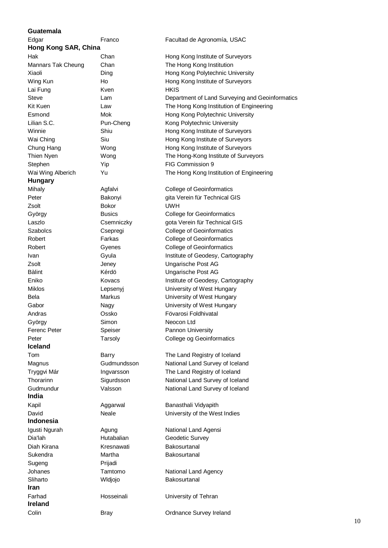### **Guatemala**

| Edgar                | Franco            | Facultad de Agronomía, USAC                     |
|----------------------|-------------------|-------------------------------------------------|
| Hong Kong SAR, China |                   |                                                 |
| Hak                  | Chan              | Hong Kong Institute of Surveyors                |
| Mannars Tak Cheung   | Chan              | The Hong Kong Institution                       |
| Xiaoli               | Ding              | Hong Kong Polytechnic University                |
| Wing Kun             | Ho                | Hong Kong Institute of Surveyors                |
| Lai Fung             | Kven              | <b>HKIS</b>                                     |
| Steve                | Lam               | Department of Land Surveying and Geoinformatics |
| Kit Kuen             | Law               | The Hong Kong Institution of Engineering        |
| Esmond               | Mok               | Hong Kong Polytechnic University                |
| Lilian S.C.          | Pun-Cheng         | Kong Polytechnic University                     |
| Winnie               | Shiu              | Hong Kong Institute of Surveyors                |
| Wai Ching            | Siu               | Hong Kong Institute of Surveyors                |
| Chung Hang           | Wong              | Hong Kong Institute of Surveyors                |
| Thien Nyen           | Wong              | The Hong-Kong Institute of Surveyors            |
| Stephen              | Yip               | FIG Commission 9                                |
| Wai Wing Alberich    | Yu                | The Hong Kong Institution of Engineering        |
| <b>Hungary</b>       |                   |                                                 |
| Mihaly               | Agfalvi           | <b>College of Geoinformatics</b>                |
| Peter                | Bakonyi           | gita Verein für Technical GIS                   |
| Zsolt                | <b>Bokor</b>      | <b>UWH</b>                                      |
| György               | <b>Busics</b>     | <b>College for Geoinformatics</b>               |
| Laszlo               | Csemniczky        | gota Verein für Technical GIS                   |
| <b>Szabolcs</b>      | Csepregi          | <b>College of Geoinformatics</b>                |
| Robert               | Farkas            | <b>College of Geoinformatics</b>                |
| Robert               | Gyenes            | <b>College of Geoinformatics</b>                |
| Ivan                 | Gyula             | Institute of Geodesy, Cartography               |
| Zsolt                | Jeney             | Ungarische Post AG                              |
| <b>Bàlint</b>        | Kérdö             | Ungarische Post AG                              |
| Eniko                | Kovacs            | Institute of Geodesy, Cartography               |
| Miklos               | Lepsenyj          | University of West Hungary                      |
| Bela                 | <b>Markus</b>     | University of West Hungary                      |
| Gabor                | Nagy              | University of West Hungary                      |
| Andras               | Ossko             | Fövarosi Foldhivatal                            |
| György               | Simon             | Neocon Ltd                                      |
| <b>Ferenc Peter</b>  | Speiser           | Pannon University                               |
| Peter                | Tarsoly           | College og Geoinformatics                       |
| <b>Iceland</b>       |                   |                                                 |
| Tom                  | Barry             | The Land Registry of Iceland                    |
| Magnus               | Gudmundsson       | National Land Survey of Iceland                 |
| Tryggvi Már          | Ingvarsson        | The Land Registry of Iceland                    |
| Thorarinn            | Sigurdsson        | National Land Survey of Iceland                 |
| Gudmundur            | Valsson           | National Land Survey of Iceland                 |
| India                |                   |                                                 |
| Kapil                | Aggarwal          | Banasthali Vidyapith                            |
| David                | Neale             | University of the West Indies                   |
| Indonesia            |                   |                                                 |
| Igusti Ngurah        | Agung             | National Land Agensi                            |
| Dia'lah              | <b>Hutabalian</b> | Geodetic Survey                                 |
| Diah Kirana          | Kresnawati        | Bakosurtanal                                    |
| Sukendra             | Martha            | Bakosurtanal                                    |
| Sugeng               | Prijadi           |                                                 |
| Johanes              | Tamtomo           | National Land Agency                            |
| Sliharto             | Wldjojo           | Bakosurtanal                                    |
| Iran                 |                   |                                                 |
| Farhad               | Hosseinali        | University of Tehran                            |
| <b>Ireland</b>       |                   |                                                 |
| Colin                | Bray              | Ordnance Survey Ireland                         |
|                      |                   |                                                 |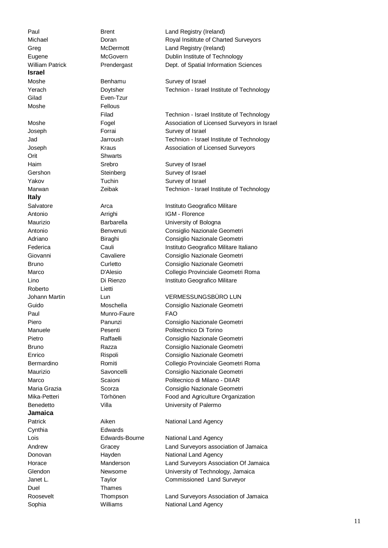**Israel**  Moshe **Benhamu** Survey of Israel Gilad Even-Tzur Moshe **Fellous** Joseph Forrai Survey of Israel Orit Shwarts Haim Srebro Stebro Survey of Israel Gershon Steinberg Steinberg Survey of Israel Yakov Tuchin Survey of Israel **Italy**  Antonio **Arrighi** Arrighi **IGM - Florence** Roberto Lietti Guido Moschella Consiglio Nazionale Geometri Paul Munro-Faure FAO **Jamaica**  Cynthia Edwards Duel **Thames** 

Paul **Brent** Brent Land Registry (Ireland) Michael **Doran** Doran Royal Insititute of Charted Surveyors Greg McDermott Land Registry (Ireland) Eugene McGovern Dublin Institute of Technology William Patrick **Prendergast** Dept. of Spatial Information Sciences

Yerach Doytsher Technion - Israel Institute of Technology

 Filad Technion - Israel Institute of Technology Moshe Fogel Association of Licensed Surveyors in Israel Jad Jarroush Technion - Israel Institute of Technology Joseph Kraus Association of Licensed Surveyors

Marwan **Zeibak** Technion - Israel Institute of Technology

Salvatore **Arca** Arca **Instituto Geografico Militare** Maurizio Barbarella University of Bologna Antonio Benvenuti Consiglio Nazionale Geometri Adriano **Biraghi** Biraghi Consiglio Nazionale Geometri Federica Cauli Instituto Geografico Militare Italiano Giovanni Cavaliere Consiglio Nazionale Geometri Bruno Curletto Consiglio Nazionale Geometri Marco D'Alesio Collegio Provinciale Geometri Roma Lino **Di Rienzo** Instituto Geografico Militare

Johann Martin Lun VERMESSUNGSBÜRO LUN

Piero Panunzi Consiglio Nazionale Geometri Manuele Pesenti Politechnico Di Torino Pietro **Raffaelli** Raffaelli Consiglio Nazionale Geometri Bruno Razza Consiglio Nazionale Geometri Enrico Rispoli Consiglio Nazionale Geometri Bermardino Romiti Collegio Provinciale Geometri Roma Maurizio Savoncelli Consiglio Nazionale Geometri Marco Scaioni Politecnico di Milano - DIIAR Maria Grazia Scorza Consiglio Nazionale Geometri Mika-Petteri Törhönen Food and Agriculture Organization Benedetto **Villa** Villa University of Palermo

Patrick **Aiken** Aiken National Land Agency

Lois Edwards-Bourne National Land Agency Andrew Gracey Land Surveyors association of Jamaica Donovan **Hayden** Havden National Land Agency Horace Manderson Land Surveyors Association Of Jamaica Glendon Newsome University of Technology, Jamaica Janet L. Taylor Commissioned Land Surveyor

Roosevelt Thompson Land Surveyors Association of Jamaica Sophia **Williams** Williams National Land Agency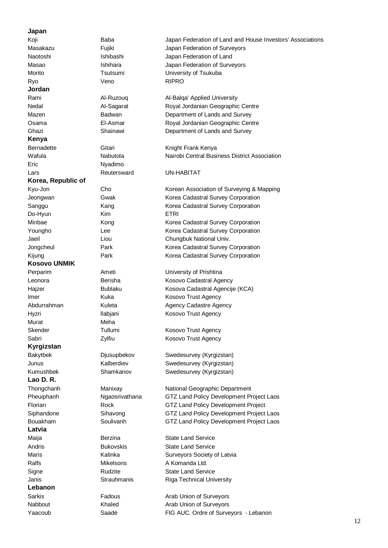### **Japan**

**Jordan Kenya**  Eric Nyadimo **Korea, Republic of Kosovo UNMIK**  Murat Meha **Kyrgizstan Lao D. R. Latvia Lebanon**  Yaacoub Saadé FIG AUC. Ordre of Surveyors - Lebanon

Ryo Veno RIPRO Do-Hyun Kim Kim ETRI

Koji **Baba** Baba Japan Federation of Land and House Investors' Associations Masakazu **Fujiki** Fujiki Japan Federation of Surveyors Naotoshi Ishibashi Japan Federation of Land Masao **Ishihara** Ishihara Japan Federation of Surveyors Morito Tsutsumi University of Tsukuba Rami Al-Ruzouq Al-Balqa' Applied University Nedal Al-Sagarat Royal Jordanian Geographic Centre Mazen Badwan Badwan Department of Lands and Survey Osama El-Asmar Royal Jordanian Geographic Centre Ghazi Shainawi Department of Lands and Survey Bernadette Gitari Gitari Knight Frank Kenya Wafula Nabutola Nairobi Central Business District Association Lars **Reutersward** UN-HABITAT Kyu-Jon Cho Cho Korean Association of Surveying & Mapping Jeongwan Gwak Korea Cadastral Survey Corporation Sanggu Kang Kang Korea Cadastral Survey Corporation Minbae Kong Kong Korea Cadastral Survey Corporation Youngho Lee Lee Korea Cadastral Survey Corporation Jaeil Liou Chungbuk National Univ. Jongcheul Park Korea Cadastral Survey Corporation Kijung **Park** Park Korea Cadastral Survey Corporation Perparim **Ameti** Ameti University of Prishtina Leonora **Berisha** Kosovo Cadastral Agency Hajzer Bublaku Kosova Cadastral Agencije (KCA) Imer Kuka Kosovo Trust Agency Abdurrahman Kuleta Agency Cadastre Agency Hyzri llabjani Kosovo Trust Agency Skender Tullumi Kosovo Trust Agency Sabri **Zylfiu** Zylfiu Kosovo Trust Agency Bakytbek Djusupbekov Swedesurvey (Kyrgizstan) Junus Kalberdiev Swedesurvey (Kyrgizstan) Kumushbek Shamkanov Swedesurvey (Kyrgizstan) Thongchanh Manixay National Geographic Department Pheuiphanh Ngaosrivathana GTZ Land Policy Development Project Laos Florian Rock GTZ Land Policy Development Project Siphandone Sihavong GTZ Land Policy Development Project Laos Bouakham Soulivanh GTZ Land Policy Development Project Laos Maija **Berzina** Berzina State Land Service Andris **Bukovskis** State Land Service Maris Maris Maris Kalinka Surveyors Society of Latvia Ralfs Mikelsons A Komanda Ltd. Signe **State Land Service** Rudzite **State Land Service** Janis **Strauhmanis** Riga Technical University Sarkis Fadous Fadous Arab Union of Surveyors Nabbout Khaled Arab Union of Surveyors

12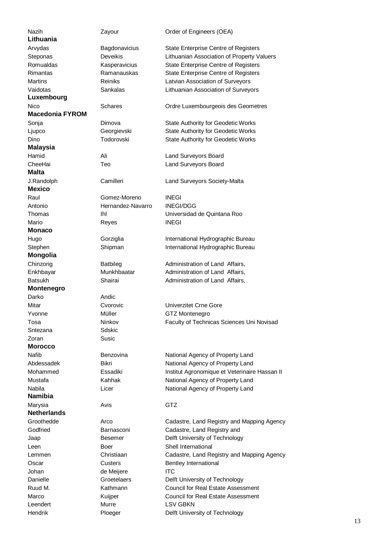**Lithuania Luxembourg Macedonia FYROM Malaysia Malta Mexico Monaco Mongolia Montenegro**  Darko Andic Sntezana Sdskic Zoran Susic **Morocco Namibia Netherlands** 

Nazih **Zayour** Zayour Order of Engineers (OEA) Arvydas Bagdonavicius State Enterprise Centre of Registers Steponas Deveikis Lithuanian Association of Property Valuers Romualdas **Kasperavicius** State Enterprise Centre of Registers Rimantas **Ramanauskas** State Enterprise Centre of Registers Martins **Marting Reiniks** Latvian Association of Surveyors Vaidotas Sankalas Lithuanian Association of Surveyors Nico Schares Ordre Luxembourgeois des Geometres Sonja Dimova State Authority for Geodetic Works Ljupco Georgievski State Authority for Geodetic Works Dino Todorovski State Authority for Geodetic Works Hamid Ali Ali Land Surveyors Board CheeHai Teo Land Surveyors Board J.Randolph Camilleri Land Surveyors Society-Malta Raul Gomez-Moreno INEGI Antonio Hernandez-Navarro INEGI/DGG Thomas Ihl Universidad de Quintana Roo Mario Reyes INEGI Hugo Gorziglia International Hydrographic Bureau Stephen **Shipman** International Hydrographic Bureau Chinzorig **Batbileg** Administration of Land Affairs, Enkhbayar Munkhbaatar Administration of Land Affairs, Batsukh Shairai Administration of Land Affairs, Mitar Cvorovic Univerzitet Crne Gore Yvonne Müller GTZ Montenegro Tosa **Ninkov Raculty of Technicas Sciences Uni Novisad Ninkov Faculty of Technicas Sciences Uni Novisad** Nafib Benzovina National Agency of Property Land Abdessadek Bikri Bikri National Agency of Property Land Mohammed **Essadiki** Institut Agronomique et Veterinaire Hassan II Mustafa Kahhak National Agency of Property Land Nabila **Nabila** Licer **National Agency of Property Land** Marysia **Avis** Avis **GTZ** Groothedde **Arco** Arco Cadastre, Land Registry and Mapping Agency Godfried **Barnasconi** Cadastre, Land Registry and Jaap Besemer Delft University of Technology Leen Boer Shell International Lemmen Christiaan Cadastre, Land Registry and Mapping Agency Oscar Custers Bentley International Johan de Meijere ITC Danielle Groetelaers Delft University of Technology Ruud M. Kathmann Council for Real Estate Assessment Marco **Kuijper** Council for Real Estate Assessment Leendert Murre LSV GBKN Hendrik Ploeger Delft University of Technology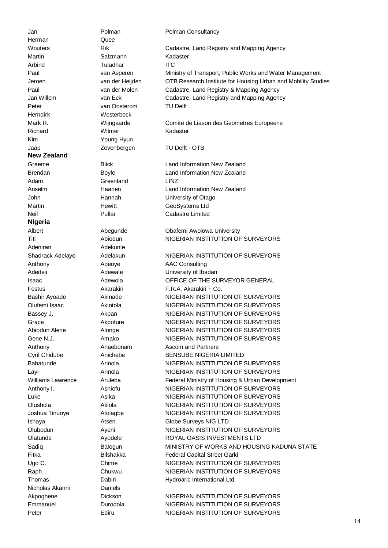Jan **Polman** Polman Polman Consultancy Herman Quee Martin Salzmann Kadaster Arbind Tuladhar ITC Peter van Oosterom TU Delft Herndirk Westerbeck Richard Witmer Kadaster Kim Young Hyun Jaap Zevenbergen TU Delft - OTB **New Zealand**  Adam Greenland LINZ **Nigeria**  Adeniran Adekunle Nicholas Akanni Daniels

Wouters Rik Cadastre, Land Registry and Mapping Agency Paul van Asperen Ministry of Transport, Public Works and Water Management Jeroen van der Heijden OTB Research Institute for Housing Urban and Mobility Studies Paul van der Molen Cadastre, Land Registry & Mapping Agency Jan Willem van Eck Cadastre, Land Registry and Mapping Agency Mark R. Wijngaarde Comite de Liason des Geometres Europeens Graeme Blick Land Information New Zealand Brendan Boyle Land Information New Zealand Anselm Haanen Land Information New Zealand John Hannah University of Otago Martin Martin Hewitt GeoSystems Ltd Neil Pullar Cadastre Limited Albert Abequnde Chafemi Awolowa University Titi **Abiodun** Abiodun NIGERIAN INSTITUTION OF SURVEYORS Shadrack Adelayo Adelakun NIGERIAN INSTITUTION OF SURVEYORS Anthony **Adeove** AAC Consulting Adedeji **Adewale** Adewale **University of Ibadan** Isaac **Adewola** OFFICE OF THE SURVEYOR GENERAL Festus Akarakiri F.R.A. Akarakiri + Co. Bashir Ayoade **Akinade** Akinade NIGERIAN INSTITUTION OF SURVEYORS Olufemi Isaac Akintola NIGERIAN INSTITUTION OF SURVEYORS Bassey J. **Akpan** Akpan NIGERIAN INSTITUTION OF SURVEYORS Grace **Akpofure** NIGERIAN INSTITUTION OF SURVEYORS Abiodun Alene Alonge NIGERIAN INSTITUTION OF SURVEYORS Gene N.J. **Amako** Amako NIGERIAN INSTITUTION OF SURVEYORS Anthony **Anaebonam** Ascom and Partners Cyril Chidube Anichebe BENSUBE NIGERIA LIMITED Babatunde **Arinola** Arinola **NIGERIAN INSTITUTION OF SURVEYORS** Layi **Arinola** Arinola **NIGERIAN INSTITUTION OF SURVEYORS** Williams Lawrence Aruleba Federal Ministry of Housing & Urban Development Anthony I. Ashiofu NIGERIAN INSTITUTION OF SURVEYORS Luke Asika NIGERIAN INSTITUTION OF SURVEYORS Olushola Atilola NIGERIAN INSTITUTION OF SURVEYORS Joshua Tinuoye **Atolagbe** NIGERIAN INSTITUTION OF SURVEYORS Ishaya Atsen Globe Surveys NIG LTD Olubodun Ayeni NIGERIAN INSTITUTION OF SURVEYORS Olatunde Ayodele ROYAL OASIS INVESTMENTS LTD Sadiq Balogun Balogun MINISTRY OF WORKS AND HOUSING KADUNA STATE Fitka Bilshakka Federal Capital Street Garki Ugo C. Chime Chime NIGERIAN INSTITUTION OF SURVEYORS Raph Chukwu NIGERIAN INSTITUTION OF SURVEYORS Thomas Dabiri Dabiri Hydroaric International Ltd. Akpoghene Dickson Dickson NIGERIAN INSTITUTION OF SURVEYORS

Emmanuel Durodola NIGERIAN INSTITUTION OF SURVEYORS Peter Ediru Ediru NIGERIAN INSTITUTION OF SURVEYORS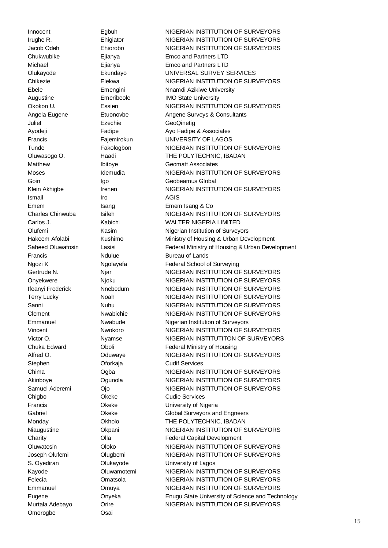Juliet Ezechie GeoQinetig Ismail **Iro Iro** AGIS Emem Isang Isang Isang Emem Isang & Co Francis Moulue Bureau of Lands Stephen **Oforkaja** Cudif Services Chigbo Okeke Cudie Services Omorogbe **Osai** 

Innocent Egbuh NIGERIAN INSTITUTION OF SURVEYORS Irughe R. **Ehigiator** NIGERIAN INSTITUTION OF SURVEYORS Jacob Odeh Ehiorobo NIGERIAN INSTITUTION OF SURVEYORS Chukwubike Ejianya Emco and Partners LTD Michael Ejianya Emco and Partners LTD Olukayode Ekundayo UNIVERSAL SURVEY SERVICES Chikezie **Elekwa** NIGERIAN INSTITUTION OF SURVEYORS Ebele **Emengini** Emengini Nnamdi Azikiwe University Augustine Emeribeole IMO State University Okokon U. Essien NIGERIAN INSTITUTION OF SURVEYORS Angela Eugene **Etuonovbe** Angene Surveys & Consultants Ayodeji Fadipe Ayo Fadipe Ayo Fadipe & Associates Francis Fajemirokun UNIVERSITY OF LAGOS Tunde **Fakologbon** NIGERIAN INSTITUTION OF SURVEYORS Oluwasogo O. Haadi THE POLYTECHNIC, IBADAN Matthew Ibitoye Geomatt Associates Moses Idemudia NIGERIAN INSTITUTION OF SURVEYORS Goin Igo Igo Geobeamus Global Klein Akhigbe **Irenen** Irenen NIGERIAN INSTITUTION OF SURVEYORS Charles Chinwuba Isifeh NIGERIAN INSTITUTION OF SURVEYORS Carlos J. Kabichi WALTER NIGERIA LIMITED Olufemi Kasim Kasim Nigerian Institution of Surveyors Hakeem Afolabi Kushimo Ministry of Housing & Urban Development Saheed Oluwatosin Lasisi Federal Ministry of Housing & Urban Development Ngozi K Ngolayefa Federal School of Surveying Gertrude N. 
and Mixtuber 2012 Night Control Control Number 2013 Number 2014 Number 2013 Number 2013 Onyekwere Njoku NIGERIAN INSTITUTION OF SURVEYORS Ifeanyi Frederick Nnebedum NIGERIAN INSTITUTION OF SURVEYORS Terry Lucky **Noah** Noah NIGERIAN INSTITUTION OF SURVEYORS Sanni Nuhu Nuhu NIGERIAN INSTITUTION OF SURVEYORS Clement Nwabichie NIGERIAN INSTITUTION OF SURVEYORS Emmanuel Nwabude Nigerian Institution of Surveyors Vincent Nwokoro NIGERIAN INSTITUTION OF SURVEYORS Victor O. Nyamse NIGERIAN INSTITUTITON OF SURVEYORS Chuka Edward Oboli Federal Ministry of Housing Alfred O. **COMIT CONTEX CONTROLLY ARE ALTER OF SURVEYORS** Chima **Ogba** NIGERIAN INSTITUTION OF SURVEYORS Akinboye Ogunola NIGERIAN INSTITUTION OF SURVEYORS Samuel Aderemi Ojo NIGERIAN INSTITUTION OF SURVEYORS Francis Okeke University of Nigeria Gabriel **Gabriel** Okeke Global Surveyors and Engneers Monday Okholo THE POLYTECHNIC, IBADAN Niaugustine **Okpani** Okpani NIGERIAN INSTITUTION OF SURVEYORS Charity Olla Federal Capital Development Oluwatosin Oloko NIGERIAN INSTITUTION OF SURVEYORS Joseph Olufemi Olugbemi NIGERIAN INSTITUTION OF SURVEYORS S. Oyediran Clukayode University of Lagos Kayode **Oluwamotemi** NIGERIAN INSTITUTION OF SURVEYORS Felecia Omatsola NIGERIAN INSTITUTION OF SURVEYORS Emmanuel Omuya NIGERIAN INSTITUTION OF SURVEYORS Eugene Onyeka Enugu State University of Science and Technology Murtala Adebayo **Orire China Adebayo MIGERIAN INSTITUTION OF SURVEYORS**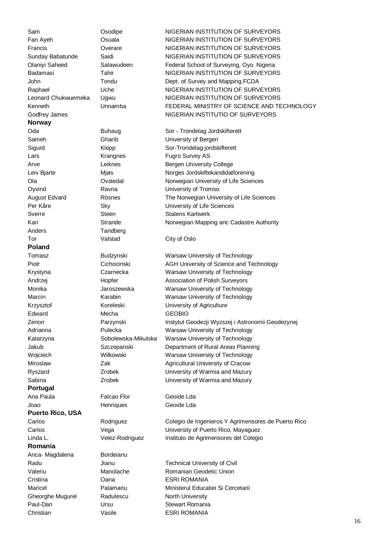**Norway**  Lars **Example 2** Krangnes **Fugro Survey AS** Sverre Steen Statens Kartwerk Anders Tandberg Tor **Valstad** City of Oslo **Poland**  Edward Mecha GEOBIO **Portugal**  Ana Paula Falcao Flor Geoide Lda Joao Henriques Geoide Lda **Puerto Rico, USA Romania**  Anca- Magdalena Bordeianu Cristina Oana ESRI ROMANIA Gheorghe Mugurel Radulescu North University Paul-Dan Ursu Ursu Stewart Romania Christian Vasile ESRI ROMANIA

Sam **Osodipe COSONIC CONTRAN INSTITUTION OF SURVEYORS** Fan Ayeh **Osuala** Osuala NIGERIAN INSTITUTION OF SURVEYORS Francis **State Contract Contract Contract Contract Contract Contract Contract Contract Contract Contract Contract Contract Contract Contract Contract Contract Contract Contract Contract Contract Contract Contract Contract** Sunday Babatunde Saidi Saidi NIGERIAN INSTITUTION OF SURVEYORS Olaniyi Saheed Salawudeen Federal School of Surveying, Oyo. Nigeria Badamasi Tahir Tahir NIGERIAN INSTITUTION OF SURVEYORS John Tondu Dept. of Survey and Mapping FCDA Raphael **12 Uche** Uche NIGERIAN INSTITUTION OF SURVEYORS Leonard Chukwuemeka Ugwu NIGERIAN INSTITUTION OF SURVEYORS Kenneth Unnamba FEDERAL MINISTRY OF SCIENCE AND TECHNOLOGY Godfrey James **NIGERIAN INSTITUTIO OF SURVEYORS** 

Oda Buhaug Sor - Trondelag Jordskifterett Sameh Gharib University of Bergen Sigurd Klepp Sor-Trondelag jordskifterett Arve **Leiknes Bergen University College** Leiv Bjarte Mjøs Morges Jordskiftekandidatforening Ola Ovstedal Norwegian University of Life Sciences Oyvind Ravna **Ravna** University of Tromso August Edvard Rösnes The Norwegian University of Life Sciences Per Kåre Sky Sky University of Life Sciences Kari Strande Norwegian Mapping anc Cadastre Authority

Tomasz Budzynski Warsaw University of Technology Piotr **Cichocinski** AGH University of Science and Technology Krystyna Czarnecka Warsaw University of Technology Andrzej Hopfer Association of Polish Surveyors Monika Jaroszewska Warsaw University of Technology Marcin Marcin Karabin Warsaw University of Technology Krzysztof Koreleski Vniversity of Agriculture Zenon Parzynski Instytut Geodezji Wyzszej i Astronomii Geodezynej Adrianna **Pulecka** Warsaw University of Technology Katarzyna Sobolewska-Mikulska Warsaw University of Technology Jakub Szczepanski Department of Rural Areas Planning Wojciech Wilkowski Warsaw University of Technology Miroslaw **Zak Zak Agricultural University of Cracow** Ryszard Zrobek University of Warmia and Mazury Sabina Zrobek University of Warmia and Mazury

Carlos Rodriguez Colegio de Ingenieros Y Agrimensores de Puerto Rico Carlos Vega University of Puerto Rico, Mayaguez Linda L. Velez-Rodriguez Instituto de Agrimensores del Colegio

Radu **Jianu** Jianu Technical University of Civil Valeriu Manolache Romanian Geodetic Union Maricel Palamariu Ministerul Educatiei Si Cercetarii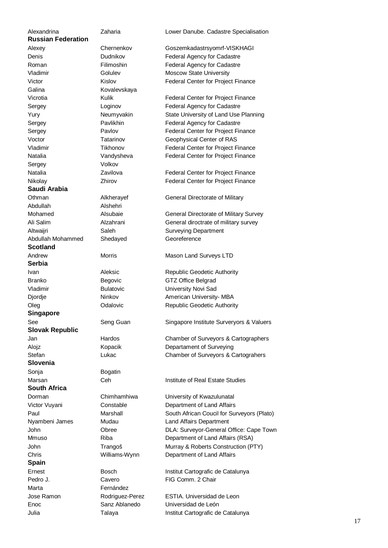**Russian Federation**  Vladimir Golulev Moscow State University Galina Kovalevskaya Sergey Volkov **Saudi Arabia**  Abdullah Alshehri Altwaijri Saleh Surveying Department Abdullah Mohammed Shedayed Georeference **Scotland**  Andrew Morris Morris Mason Land Surveys LTD **Serbia**  Branko Begovic GTZ Office Belgrad Vladimir Bulatovic University Novi Sad **Singapore Slovak Republic Slovenia**  Sonja Bogatin **South Africa**  Dorman Chimhamhiwa University of Kwazulunatal Nyambeni James Mudau Land Affairs Department **Spain**  Pedro J. Cavero FIG Comm. 2 Chair Marta Fernández Enoc Sanz Ablanedo Universidad de León

Alexandrina Zaharia Lower Danube. Cadastre Specialisation

Alexey Chernenkov Goszemkadastrsyomrf-VISKHAGI Denis Dudnikov Federal Agency for Cadastre Roman Filimoshin Federal Agency for Cadastre Victor **Kislov Kislov** Federal Center for Project Finance

Vicrotia Kulik Federal Center for Project Finance Sergey Loginov Federal Agency for Cadastre Yury **Neumyvakin** State University of Land Use Planning Sergey **Pavlikhin** Federal Agency for Cadastre Sergey **Pavlov** Pavlov Federal Center for Project Finance Voctor Tatarinov Geophysical Center of RAS Vladimir Tikhonov Federal Center for Project Finance Natalia **Vandysheva** Federal Center for Project Finance

Natalia **Natalia** Zavilova Federal Center for Project Finance Nikolay **Zhirov Zhirov** Federal Center for Project Finance

Othman **Alkherayef** General Directorate of Military

Mohamed **Alsubaie** Alsubaie General Directorate of Military Survey Ali Salim Alzahrani General diroctrate of military survey

**Ivan Aleksic** Republic Geodetic Authority Djordje Ninkov American University- MBA Oleg Colalovic Republic Geodetic Authority

See Seng Guan Singapore Institute Surveryors & Valuers

Jan Hardos Chamber of Surveyors & Cartographers Alojz **Kopacik** Departament of Surveying Stefan Lukac Chamber of Surveyors & Cartograhers

Marsan Ceh Institute of Real Estate Studies

Victor Vuyani Constable Department of Land Affairs Paul Marshall South African Coucil for Surveyors (Plato) John Obree DLA: Surveyor-General Office: Cape Town Mmuso Riba Riba Department of Land Affairs (RSA) John Trangoš Murray & Roberts Construction (PTY) Chris Williams-Wynn Department of Land Affairs

Ernest Bosch Institut Cartografic de Catalunya

Jose Ramon Rodriguez-Perez ESTIA. Universidad de Leon Julia Talaya Institut Cartografic de Catalunya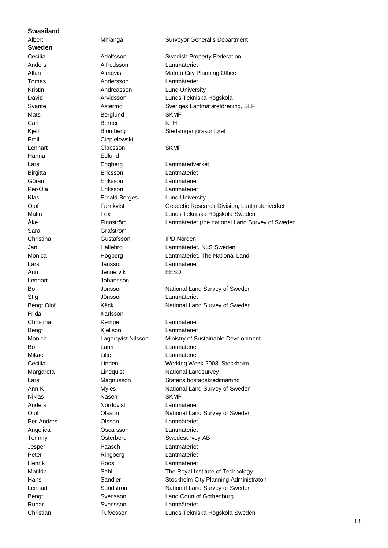### **Swasiland**

**Sweden**  Hanna Edlund Sara Grafström Lennart Johansson Frida Karlsson

Anders **Alfredsson** Lantmäteriet Tomas **Andersson** Lantmäteriet Kristin **Andreasson** Lund University Mats **Berglund** SKMF Carl Berner KTH Emil Ciepielewski Lennart Claesson SKMF Birgitta Ericsson Lantmäteriet Göran Eriksson Lantmäteriet Per-Ola Eriksson Lantmäteriet Klas **Ernald Borges** Lund University Christina Gustafsson IPD Norden Lars Jansson Lantmäteriet Ann Jennervik EESD Stig Jönsson Lantmäteriet Christina Kempe Lantmäteriet Bengt Kjellson Lantmäteriet Bo Lauri Lantmäteriet Mikael Lilje Lantmäteriet Niklas Nasen SKMF Anders Nordqvist Lantmäteriet Per-Anders Olsson Lantmäteriet Angelica Oscarsson Lantmäteriet Jesper Paasch Lantmäteriet Peter Ringberg Lantmäteriet Henrik Roos Lantmäteriet Runar Svensson Lantmäteriet Christian Tufvesson Lunds Tekniska Högskola Sweden

Albert Mhlanga Surveyor Generalis Department Cecilia Adolfsson Swedish Property Federation Allan Almqvist Malmö City Planning Office David Arvidsson Lunds Tekniska Högskola Svante Astermo Sveriges Lantmätareförening, SLF Kjell Blomberg Stedsingenjörskontoret Lars Engberg Lantmäteriverket Olof Farnkvist Geodetic Research Division, Lantmateriverket Malin Fex Lunds Tekniska Högskola Sweden Åke Finnström Lantmäteriet (the national Land Survey of Sweden Jan Hallebro Lantmäteriet, NLS Sweden Monica Högberg Lantmäteriet, The National Land Bo **Jonsson** Jonsson National Land Survey of Sweden Bengt Olof **Käck** National Land Survey of Sweden Monica Lagerqvist Nilsson Ministry of Sustainable Development Cecilia Linden Working Week 2008, Stockholm Margareta **Lindquist** Lindquist National Landsurvey Lars Magnusson Statens bostadskreditnämnd Ann K Myles Most National Land Survey of Sweden Olof Clsson Colsson National Land Survey of Sweden Tommy **Österberg** Swedesurvey AB Matilda Sahl Sahl The Royal Institute of Technology Hans **Sandler** Sandler Stockholm City Planning Administraton Lennart **Sundström** National Land Survey of Sweden Bengt Svensson Land Court of Gothenburg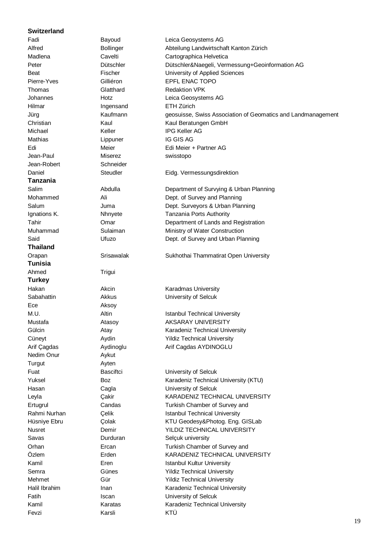### **Switzerland**

Jean-Robert Schneider **Tanzania Thailand Tunisia**  Ahmed Trigui **Turkey**  Ece Aksov Nedim Onur **Aykut** Turgut **Ayten** 

Fevzi Karsli KTÜ

Fadi Bayoud Leica Geosystems AG Alfred Bollinger Abteilung Landwirtschaft Kanton Zürich Madlena Cavelti Cavelti Cartographica Helvetica Peter Dütschler Dütschler&Naegeli, Vermessung+Geoinformation AG Beat **Fischer** Fischer University of Applied Sciences Pierre-Yves Gilliéron EPFL ENAC TOPO Thomas Glatthard Redaktion VPK Johannes Hotz Leica Geosystems AG Hilmar Ingensand ETH Zürich Christian Kaul Kaul Kaul Beratungen GmbH Michael **Keller** Keller IPG Keller AG Mathias **Lippuner** Lippuner IG GIS AG Edi **Edi** Meier **Edi Meier + Partner AG** Jean-Paul Miserez swisstopo Daniel Steudler Eidg. Vermessungsdirektion Salim Abdulla Department of Survying & Urban Planning Mohammed Ali Ali Dept. of Survey and Planning Salum Juma Dept. Surveyors & Urban Planning Ignations K. Nhnyete Tanzania Ports Authority Tahir Omar Department of Lands and Registration Muhammad Sulaiman Ministry of Water Construction Said Charles Ufuzo Dept. of Survey and Urban Planning Orapan Srisawalak Sukhothai Thammatirat Open University Hakan Akcin Karadmas University Sabahattin Akkus University of Selcuk M.U. Altin Altin Istanbul Technical University Mustafa **Atasov** Atasov AKSARAY UNIVERSITY Gülcin Atay Ataw Karadeniz Technical University Cüneyt **Aydin** Aydin Yildiz Technical University Arif Cagdas **Aydinoglu** Arif Cagdas AYDINOGLU Fuat **Basciftci Basciftci** University of Selcuk Yuksel Boz Boz Karadeniz Technical University (KTU) Hasan Cagla University of Selcuk Leyla Çakir KARADENIZ TECHNICAL UNIVERSITY Ertugrul Candas Candas Turkish Chamber of Survey and Rahmi Nurhan Celik Celik Istanbul Technical University Hüsniye Ebru Colak KTU Geodesy&Photog. Eng. GISLab Nusret Demir YILDIZ TECHNICAL UNIVERSITY Savas Durduran Selçuk university Orhan Ercan Turkish Chamber of Survey and Özlem Erden KARADENIZ TECHNICAL UNIVERSITY Kamil **Eren** Eren Istanbul Kultur University Semra Günes Günes Yildiz Technical University Mehmet Gür Gür Yildiz Technical University Halil Ibrahim **Inan** Inan Karadeniz Technical University Fatih Iscan Iscan University of Selcuk Kamil Karatas Karatas Karadeniz Technical University

Jürg Kaufmann geosuisse, Swiss Association of Geomatics and Landmanagement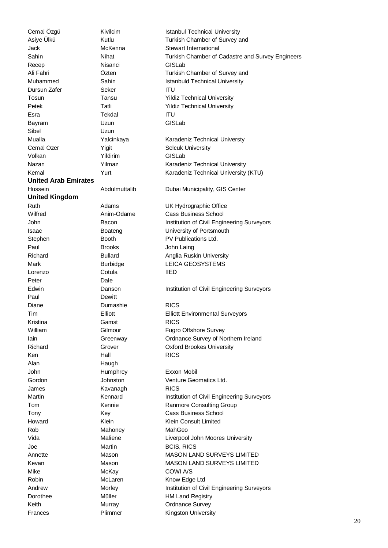Jack McKenna Stewart International Recep Nisanci GISLab Dursun Zafer Seker Seker ITU Esra Tekdal ITU Bayram **Uzun** Uzun GISLab Sibel **Uzun** Cemal Ozer **Yigit** Yigit Selcuk University Volkan Yildirim GISLab **United Arab Emirates United Kingdom**  Stephen Booth Booth PV Publications Ltd. Paul **Brooks John Laing** Lorenzo Cotula IIED Peter Dale Paul Dewitt Diane Dumashie RICS Kristina Gamst RICS Ken Hall RICS Alan Haugh John Humphrey Exxon Mobil James **Kavanagh** RICS Howard **Klein** Klein **Klein** Klein **Klein Consult Limited** Rob Mahoney Mahoney MahGeo Joe Martin BCIS, RICS Mike McKay McKay COWI A/S Robin McLaren Know Edge Ltd Dorothee Müller Müller HM Land Registry Keith Murray Murray Crdnance Survey

Cemal Özgü **Kivilcim Istanbul Technical University** Asiye Ülkü Kutlu Kutlu Turkish Chamber of Survey and Sahin **Nihat** Nihat Turkish Chamber of Cadastre and Survey Engineers Ali Fahri Özten Turkish Chamber of Survey and Muhammed Sahin Istanbuld Technical University Tosun Tansu Yildiz Technical University Petek Tatli Tatli Yildiz Technical University Mualla **Xalcinkaya** Karadeniz Technical Universty Nazan **Yilmaz** Yilmaz Karadeniz Technical University Kemal Yurt Yurt Karadeniz Technical University (KTU) Hussein Abdulmuttalib Dubai Municipality, GIS Center Ruth Adams Adams UK Hydrographic Office Wilfred Miller Anim-Odame Cass Business School John Bacon Bacon Institution of Civil Engineering Surveyors Isaac Boateng University of Portsmouth Richard **Bullard** Bullard **Anglia Ruskin University** Mark Burbidge LEICA GEOSYSTEMS Edwin **Danson** Institution of Civil Engineering Surveyors Tim Elliott Elliott Environmental Surveyors William Gilmour Gilmour Fugro Offshore Survey Iain Greenway Ordnance Survey of Northern Ireland Richard Grover Contract Contract Contract Contract Contract Contract Contract Contract Contract Contract Contract Contract Contract Contract Contract Contract Contract Contract Contract Contract Contract Contract Contract Gordon **Gordon** Johnston Venture Geomatics Ltd. Martin **Institution of Civil Engineering Surveyors Kennard Institution of Civil Engineering Surveyors** Tom **Kennie** Kennie Ranmore Consulting Group Tony **Cass Business School** Vida Maliene Liverpool John Moores University Annette Mason Mason MASON LAND SURVEYS LIMITED Kevan Mason MASON LAND SURVEYS LIMITED Andrew Morley Morley Institution of Civil Engineering Surveyors Frances Plimmer Kingston University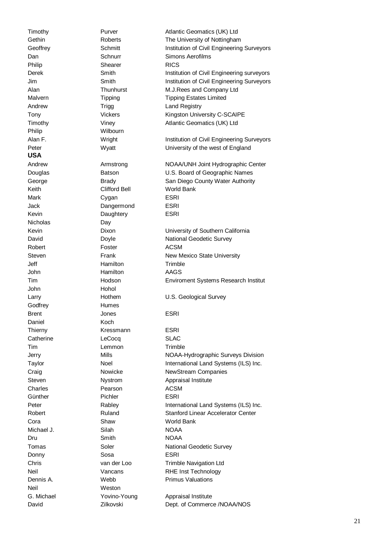Philip Wilbourn **USA**  Nicholas Day John Hohol Godfrey Humes Daniel Koch Neil Weston

Philip Shearer RICS Keith Clifford Bell World Bank Mark Cygan ESRI Jack Dangermond ESRI Kevin Daughtery ESRI Robert **Foster** Foster ACSM Jeff **Hamilton** Hamilton Trimble John Hamilton AAGS Brent Cones Cones ESRI Thierny **Kressmann** ESRI Catherine LeCocq SLAC Tim Lemmon **Trimble** Charles **Pearson** ACSM Günther **Pichler** Pichler ESRI Cora Shaw World Bank Michael J. Silah Silah NOAA Dru Smith NOAA Donny Sosa ESRI

Timothy **Purver** Purver Atlantic Geomatics (UK) Ltd Gethin Roberts The University of Nottingham Geoffrey Schmitt Schmitt Institution of Civil Engineering Surveyors Dan Schnurr Schnurr Simons Aerofilms Derek Smith Smith Institution of Civil Engineering surveyors Jim Smith Institution of Civil Engineering Surveyors Alan Thunhurst M.J.Rees and Company Ltd Malvern Tipping Tipping Tipping Estates Limited Andrew Trigg Land Registry Tony **Vickers** Vickers **Kingston University C-SCAIPE** Timothy Viney Viney Atlantic Geomatics (UK) Ltd Alan F. **Institution of Civil Engineering Surveyors** Institution of Civil Engineering Surveyors Peter Wyatt Wyatt University of the west of England Andrew Armstrong NOAA/UNH Joint Hydrographic Center Douglas Batson Batson U.S. Board of Geographic Names George **Brady** Brady San Diego County Water Authority Kevin Dixon University of Southern California David Doyle National Geodetic Survey Steven Frank Frank New Mexico State University Tim Hodson Enviroment Systems Research Institut Larry **Hothem** U.S. Geological Survey Jerry Mills Mills NOAA-Hydrographic Surveys Division Taylor Noel International Land Systems (ILS) Inc. Craig Craig Nowicke NewStream Companies Steven Nystrom Appraisal Institute Peter Rabley Rabley International Land Systems (ILS) Inc. Robert Ruland Stanford Linear Accelerator Center Tomas Soler Soler National Geodetic Survey Chris van der Loo Trimble Navigation Ltd Neil Vancans RHE Inst Technology **Dennis A.** Webb Primus Valuations G. Michael **Yovino-Young** Appraisal Institute David Zilkovski Dept. of Commerce /NOAA/NOS